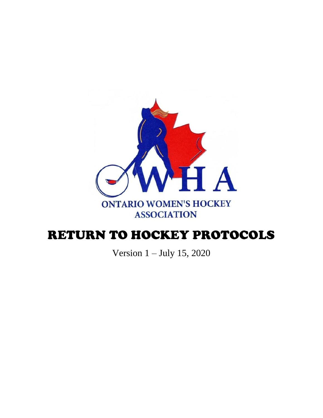

# RETURN TO HOCKEY PROTOCOLS

Version 1 – July 15, 2020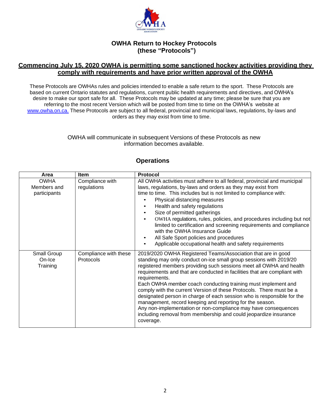

## **OWHA Return to Hockey Protocols (these "Protocols")**

### **Commencing July 15, 2020 OWHA is permitting some sanctioned hockey activities providing they comply with requirements and have prior written approval of the OWHA**

These Protocols are OWHAs rules and policies intended to enable a safe return to the sport. These Protocols are based on current Ontario statutes and regulations, current public health requirements and directives, and OWHA's desire to make our sport safe for all. These Protocols may be updated at any time; please be sure that you are referring to the most recent Version which will be posted from time to time on the OWHA's website at [www.owha.on.ca.](http://www.owha.on.ca./) These Protocols are subject to all federal, provincial and municipal laws, regulations, by-laws and orders as they may exist from time to time.

#### OWHA will communicate in subsequent Versions of these Protocols as new information becomes available.

| Area         | <b>Item</b>           | Protocol                                                                                                                           |
|--------------|-----------------------|------------------------------------------------------------------------------------------------------------------------------------|
| <b>OWHA</b>  | Compliance with       | All OWHA activities must adhere to all federal, provincial and municipal                                                           |
| Members and  | regulations           | laws, regulations, by-laws and orders as they may exist from                                                                       |
| participants |                       | time to time. This includes but is not limited to compliance with:                                                                 |
|              |                       | Physical distancing measures<br>$\bullet$                                                                                          |
|              |                       | Health and safety regulations<br>$\bullet$                                                                                         |
|              |                       | Size of permitted gatherings<br>$\bullet$                                                                                          |
|              |                       | OWHA regulations, rules, policies, and procedures including but not<br>$\bullet$                                                   |
|              |                       | limited to certification and screening requirements and compliance                                                                 |
|              |                       | with the OWHA Insurance Guide                                                                                                      |
|              |                       | All Safe Sport policies and procedures<br>$\bullet$                                                                                |
|              |                       | Applicable occupational health and safety requirements<br>$\bullet$                                                                |
| Small Group  | Compliance with these | 2019/2020 OWHA Registered Teams/Association that are in good                                                                       |
| On-Ice       | Protocols             | standing may only conduct on-ice small group sessions with 2019/20                                                                 |
| Training     |                       | registered members providing such sessions meet all OWHA and health                                                                |
|              |                       | requirements and that are conducted in facilities that are compliant with                                                          |
|              |                       | requirements.                                                                                                                      |
|              |                       | Each OWHA member coach conducting training must implement and                                                                      |
|              |                       | comply with the current Version of these Protocols. There must be a                                                                |
|              |                       | designated person in charge of each session who is responsible for the                                                             |
|              |                       | management, record keeping and reporting for the season.                                                                           |
|              |                       | Any non-implementation or non-compliance may have consequences<br>including removal from membership and could jeopardize insurance |
|              |                       | coverage.                                                                                                                          |
|              |                       |                                                                                                                                    |

# **Operations**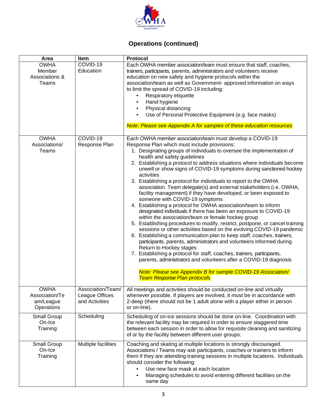

# **Operations (continued)**

| Area                                                     | Item                                                  | Protocol                                                                                                                                                                                                                                                                                                                                                                                                                                                                                                                                                                                                                                                                                                                                                                                                                                                                                                                                                                                                                                                                                                                                                                                                                                                                                                                                                                                                                   |  |
|----------------------------------------------------------|-------------------------------------------------------|----------------------------------------------------------------------------------------------------------------------------------------------------------------------------------------------------------------------------------------------------------------------------------------------------------------------------------------------------------------------------------------------------------------------------------------------------------------------------------------------------------------------------------------------------------------------------------------------------------------------------------------------------------------------------------------------------------------------------------------------------------------------------------------------------------------------------------------------------------------------------------------------------------------------------------------------------------------------------------------------------------------------------------------------------------------------------------------------------------------------------------------------------------------------------------------------------------------------------------------------------------------------------------------------------------------------------------------------------------------------------------------------------------------------------|--|
| <b>OWHA</b><br>Member<br>Associations &<br>Teams         | COVID-19<br>Education                                 | Each OWHA member association/team must ensure that staff, coaches,<br>trainers, participants, parents, administrators and volunteers receive<br>education on new safety and hygiene protocols within the<br>association/team as well as Government- approved information on ways<br>to limit the spread of COVID-19 including:<br>Respiratory etiquette<br>Hand hygiene<br>Physical distancing<br>Use of Personal Protective Equipment (e.g. face masks)<br>Note: Please see Appendix A for samples of these education resources                                                                                                                                                                                                                                                                                                                                                                                                                                                                                                                                                                                                                                                                                                                                                                                                                                                                                           |  |
| <b>OWHA</b><br>Associations/<br>Teams                    | COVID-19<br>Response Plan                             | Each OWHA member association/team must develop a COVID-19<br>Response Plan which must include provisions:<br>1. Designating groups of individuals to oversee the implementation of<br>health and safety guidelines<br>2. Establishing a protocol to address situations where individuals become<br>unwell or show signs of COVID-19 symptoms during sanctioned hockey<br>activities<br>3. Establishing a protocol for individuals to report to the OWHA<br>association. Team delegate(s) and external stakeholders (i.e. OWHA,<br>facility management) if they have developed, or been exposed to<br>someone with COVID-19 symptoms<br>4. Establishing a protocol for OWHA association/team to inform<br>designated individuals if there has been an exposure to COVID-19<br>within the association/team or female hockey group<br>5. Establishing procedures to modify, restrict, postpone, or cancel training<br>sessions or other activities based on the evolving COVID-19 pandemic<br>6. Establishing a communication plan to keep staff, coaches, trainers,<br>participants, parents, administrators and volunteers informed during<br>Return to Hockey stages<br>7. Establishing a protocol for staff, coaches, trainers, participants,<br>parents, administrators and volunteers after a COVID-19 diagnosis<br>Note: Please see Appendix B for sample COVID-19 Association/<br><b>Team Response Plan protocols</b> |  |
| <b>OWHA</b><br>Association/Te<br>am/League<br>Operations | Association/Team/<br>League Offices<br>and Activities | All meetings and activities should be conducted on-line and virtually<br>whenever possible. If players are involved, it must be in accordance with<br>2-deep (there should not be 1 adult alone with a player either in person<br>or on-line).                                                                                                                                                                                                                                                                                                                                                                                                                                                                                                                                                                                                                                                                                                                                                                                                                                                                                                                                                                                                                                                                                                                                                                             |  |
| Small Group<br>On-Ice<br>Training                        | Scheduling                                            | Scheduling of on-ice sessions should be done on-line. Coordination with<br>the relevant facility may be required in order to ensure staggered time<br>between each session in order to allow for requisite cleaning and sanitizing<br>of or by the facility between different user groups.                                                                                                                                                                                                                                                                                                                                                                                                                                                                                                                                                                                                                                                                                                                                                                                                                                                                                                                                                                                                                                                                                                                                 |  |
| Small Group<br>On-Ice<br>Training                        | Multiple facilities                                   | Coaching and skating at multiple locations is strongly discouraged.<br>Associations / Teams may ask participants, coaches or trainers to inform<br>them if they are attending training sessions in multiple locations. Individuals<br>should consider the following:<br>Use new face mask at each location<br>Managing schedules to avoid entering different facilities on the<br>same day                                                                                                                                                                                                                                                                                                                                                                                                                                                                                                                                                                                                                                                                                                                                                                                                                                                                                                                                                                                                                                 |  |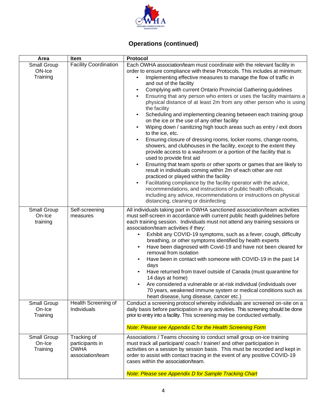

# **Operations (continued)**

| Area                              | Item                                               | Protocol                                                                                                                                                                                                                                                                                                                                                                                                                                                                                                                                                                                                                                                                                                                                                                                                                                                                                                                                                                                                                                                                                                                                                                                                                                                                                                                                                                                |  |  |
|-----------------------------------|----------------------------------------------------|-----------------------------------------------------------------------------------------------------------------------------------------------------------------------------------------------------------------------------------------------------------------------------------------------------------------------------------------------------------------------------------------------------------------------------------------------------------------------------------------------------------------------------------------------------------------------------------------------------------------------------------------------------------------------------------------------------------------------------------------------------------------------------------------------------------------------------------------------------------------------------------------------------------------------------------------------------------------------------------------------------------------------------------------------------------------------------------------------------------------------------------------------------------------------------------------------------------------------------------------------------------------------------------------------------------------------------------------------------------------------------------------|--|--|
| Small Group<br>ON-Ice<br>Training | <b>Facility Coordination</b>                       | Each OWHA association/team must coordinate with the relevant facility in<br>order to ensure compliance with these Protocols. This includes at minimum:<br>Implementing effective measures to manage the flow of traffic in<br>and out of the facility<br>Complying with current Ontario Provincial Gathering guidelines<br>Ensuring that any person who enters or uses the facility maintains a<br>physical distance of at least 2m from any other person who is using<br>the facility<br>Scheduling and implementing cleaning between each training group<br>on the ice or the use of any other facility<br>Wiping down / sanitizing high touch areas such as entry / exit doors<br>to the ice, etc.<br>Ensuring closure of dressing rooms, locker rooms, change rooms,<br>showers, and clubhouses in the facility, except to the extent they<br>provide access to a washroom or a portion of the facility that is<br>used to provide first aid<br>Ensuring that team sports or other sports or games that are likely to<br>result in individuals coming within 2m of each other are not<br>practiced or played within the facility<br>Facilitating compliance by the facility operator with the advice,<br>recommendations, and instructions of public health officials,<br>including any advice, recommendations or instructions on physical<br>distancing, cleaning or disinfecting |  |  |
| Small Group<br>On-Ice<br>training | Self-screening<br>measures                         | All individuals taking part in OWHA sanctioned association/team activities<br>must self-screen in accordance with current public heath guidelines before<br>each training session. Individuals must not attend any training sessions or<br>association/team activities if they:<br>Exhibit any COVID-19 symptoms, such as a fever, cough, difficulty<br>breathing, or other symptoms identified by health experts<br>Have been diagnosed with Covid-19 and have not been cleared for<br>removal from isolation<br>Have been in contact with someone with COVID-19 in the past 14<br>$\bullet$<br>days<br>Have returned from travel outside of Canada (must quarantine for<br>14 days at home)<br>Are considered a vulnerable or at-risk individual (individuals over<br>70 years, weakened immune system or medical conditions such as<br>heart disease, lung disease, cancer etc.)                                                                                                                                                                                                                                                                                                                                                                                                                                                                                                     |  |  |
| Small Group<br>On-Ice<br>Training | Health Screening of<br><b>Individuals</b>          | Conduct a screening protocol whereby individuals are screened on-site on a<br>daily basis before participation in any activities. This screening should be done<br>prior to entry into a facility. This screening may be conducted verbally.<br>Note: Please see Appendix C for the Health Screening Form                                                                                                                                                                                                                                                                                                                                                                                                                                                                                                                                                                                                                                                                                                                                                                                                                                                                                                                                                                                                                                                                               |  |  |
| Small Group                       | Tracking of                                        | Associations / Teams choosing to conduct small group on-ice training                                                                                                                                                                                                                                                                                                                                                                                                                                                                                                                                                                                                                                                                                                                                                                                                                                                                                                                                                                                                                                                                                                                                                                                                                                                                                                                    |  |  |
| On-Ice<br>Training                | participants in<br><b>OWHA</b><br>association/team | must track all participant/coach / trainer/ and other participation in<br>activities on a session by session basis. This must be recorded and kept in<br>order to assist with contact tracing in the event of any positive COVID-19<br>cases within the association/team.                                                                                                                                                                                                                                                                                                                                                                                                                                                                                                                                                                                                                                                                                                                                                                                                                                                                                                                                                                                                                                                                                                               |  |  |
|                                   |                                                    | <b>Note: Please see Appendix D for Sample Tracking Chart</b>                                                                                                                                                                                                                                                                                                                                                                                                                                                                                                                                                                                                                                                                                                                                                                                                                                                                                                                                                                                                                                                                                                                                                                                                                                                                                                                            |  |  |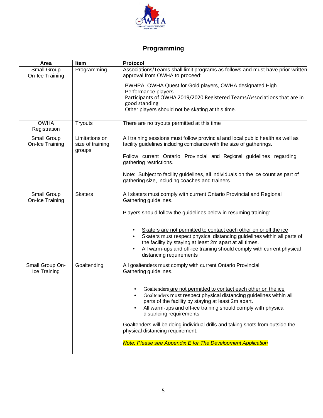

# **Programming**

| Area                            | Item                                         | Protocol                                                                                                                                                                                                                                                                                |
|---------------------------------|----------------------------------------------|-----------------------------------------------------------------------------------------------------------------------------------------------------------------------------------------------------------------------------------------------------------------------------------------|
| Small Group<br>On-Ice Training  | Programming                                  | Associations/Teams shall limit programs as follows and must have prior written<br>approval from OWHA to proceed:                                                                                                                                                                        |
|                                 |                                              | PWHPA, OWHA Quest for Gold players, OWHA designated High<br>Performance players<br>Participants of OWHA 2019/2020 Registered Teams/Associations that are in<br>good standing<br>Other players should not be skating at this time.                                                       |
| <b>OWHA</b><br>Registration     | <b>Tryouts</b>                               | There are no tryouts permitted at this time                                                                                                                                                                                                                                             |
| Small Group<br>On-Ice Training  | Limitations on<br>size of training<br>groups | All training sessions must follow provincial and local public health as well as<br>facility guidelines including compliance with the size of gatherings.                                                                                                                                |
|                                 |                                              | Follow current Ontario Provincial and Regional guidelines regarding<br>gathering restrictions.                                                                                                                                                                                          |
|                                 |                                              | Note: Subject to facility guidelines, all individuals on the ice count as part of<br>gathering size, including coaches and trainers.                                                                                                                                                    |
| Small Group<br>On-Ice Training  | <b>Skaters</b>                               | All skaters must comply with current Ontario Provincial and Regional<br>Gathering guidelines.                                                                                                                                                                                           |
|                                 |                                              | Players should follow the guidelines below in resuming training:                                                                                                                                                                                                                        |
|                                 |                                              | Skaters are not permitted to contact each other on or off the ice<br>Skaters must respect physical distancing guidelines within all parts of                                                                                                                                            |
|                                 |                                              | the facility by staying at least 2m apart at all times.<br>All warm-ups and off-ice training should comply with current physical<br>distancing requirements                                                                                                                             |
| Small Group On-<br>Ice Training | Goaltending                                  | All goaltenders must comply with current Ontario Provincial<br>Gathering guidelines.                                                                                                                                                                                                    |
|                                 |                                              | Goaltenders are not permitted to contact each other on the ice<br>Goaltenders must respect physical distancing guidelines within all<br>parts of the facility by staying at least 2m apart.<br>All warm-ups and off-ice training should comply with physical<br>distancing requirements |
|                                 |                                              | Goaltenders will be doing individual drills and taking shots from outside the<br>physical distancing requirement.                                                                                                                                                                       |
|                                 |                                              | Note: Please see Appendix E for The Development Application                                                                                                                                                                                                                             |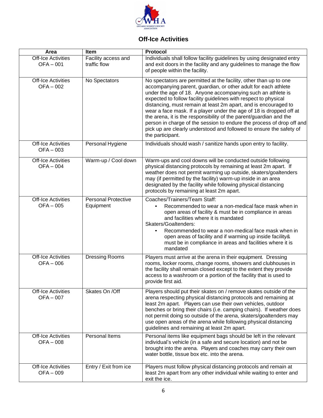

# **Off-Ice Activities**

| Area                                     | Item                                    | Protocol                                                                                                                                                                                                                                                                                                                                                                                                                                                                                                                                                                                                                                                  |
|------------------------------------------|-----------------------------------------|-----------------------------------------------------------------------------------------------------------------------------------------------------------------------------------------------------------------------------------------------------------------------------------------------------------------------------------------------------------------------------------------------------------------------------------------------------------------------------------------------------------------------------------------------------------------------------------------------------------------------------------------------------------|
| <b>Off-Ice Activities</b><br>$OFA - 001$ | Facility access and<br>traffic flow     | Individuals shall follow facility guidelines by using designated entry<br>and exit doors in the facility and any guidelines to manage the flow<br>of people within the facility.                                                                                                                                                                                                                                                                                                                                                                                                                                                                          |
| <b>Off-Ice Activities</b><br>$OFA - 002$ | No Spectators                           | No spectators are permitted at the facility, other than up to one<br>accompanying parent, guardian, or other adult for each athlete<br>under the age of 18. Anyone accompanying such an athlete is<br>expected to follow facility guidelines with respect to physical<br>distancing, must remain at least 2m apart, and is encouraged to<br>wear a face mask. If a player under the age of 18 is dropped off at<br>the arena, it is the responsibility of the parent/guardian and the<br>person in charge of the session to endure the process of drop off and<br>pick up are clearly understood and followed to ensure the safety of<br>the participant. |
| <b>Off-Ice Activities</b><br>$OFA - 003$ | Personal Hygiene                        | Individuals should wash / sanitize hands upon entry to facility.                                                                                                                                                                                                                                                                                                                                                                                                                                                                                                                                                                                          |
| <b>Off-Ice Activities</b><br>OFA-004     | Warm-up / Cool down                     | Warm-ups and cool downs will be conducted outside following<br>physical distancing protocols by remaining at least 2m apart. If<br>weather does not permit warming up outside, skaters/goaltenders<br>may (if permitted by the facility) warm-up inside in an area<br>designated by the facility while following physical distancing<br>protocols by remaining at least 2m apart.                                                                                                                                                                                                                                                                         |
| <b>Off-Ice Activities</b><br>$OFA - 005$ | <b>Personal Protective</b><br>Equipment | Coaches/Trainers/Team Staff:<br>Recommended to wear a non-medical face mask when in<br>$\bullet$<br>open areas of facility & must be in compliance in areas<br>and facilities where it is mandated<br>Skaters/Goaltenders:<br>Recommended to wear a non-medical face mask when in<br>$\bullet$<br>open areas of facility and if warming up inside facility&<br>must be in compliance in areas and facilities where it is<br>mandated                                                                                                                                                                                                                      |
| <b>Off-Ice Activities</b><br>$OFA - 006$ | <b>Dressing Rooms</b>                   | Players must arrive at the arena in their equipment. Dressing<br>rooms, locker rooms, change rooms, showers and clubhouses in<br>the facility shall remain closed except to the extent they provide<br>access to a washroom or a portion of the facility that is used to<br>provide first aid.                                                                                                                                                                                                                                                                                                                                                            |
| <b>Off-Ice Activities</b><br>$OFA - 007$ | Skates On /Off                          | Players should put their skates on / remove skates outside of the<br>arena respecting physical distancing protocols and remaining at<br>least 2m apart. Players can use their own vehicles, outdoor<br>benches or bring their chairs (i.e. camping chairs). If weather does<br>not permit doing so outside of the arena, skaters/goaltenders may<br>use open areas of the arena while following physical distancing<br>guidelines and remaining at least 2m apart.                                                                                                                                                                                        |
| <b>Off-Ice Activities</b><br>$OFA - 008$ | Personal Items                          | Personal items like equipment bags should be left in the relevant<br>individual's vehicle (in a safe and secure location) and not be<br>brought into the arena. Players and coaches may carry their own<br>water bottle, tissue box etc. into the arena.                                                                                                                                                                                                                                                                                                                                                                                                  |
| <b>Off-Ice Activities</b><br>$OFA - 009$ | Entry / Exit from ice                   | Players must follow physical distancing protocols and remain at<br>least 2m apart from any other individual while waiting to enter and<br>exit the ice.                                                                                                                                                                                                                                                                                                                                                                                                                                                                                                   |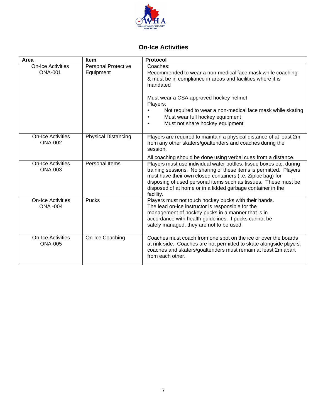

# **On-Ice Activities**

| Area                                        | <b>Item</b>                             | <b>Protocol</b>                                                                                                                                                                                                                                                                                                                                         |
|---------------------------------------------|-----------------------------------------|---------------------------------------------------------------------------------------------------------------------------------------------------------------------------------------------------------------------------------------------------------------------------------------------------------------------------------------------------------|
| <b>On-Ice Activities</b><br><b>ONA-001</b>  | <b>Personal Protective</b><br>Equipment | Coaches:<br>Recommended to wear a non-medical face mask while coaching<br>& must be in compliance in areas and facilities where it is<br>mandated<br>Must wear a CSA approved hockey helmet<br>Players:<br>Not required to wear a non-medical face mask while skating<br>Must wear full hockey equipment<br>Must not share hockey equipment             |
| <b>On-Ice Activities</b><br><b>ONA-002</b>  | <b>Physical Distancing</b>              | Players are required to maintain a physical distance of at least 2m<br>from any other skaters/goaltenders and coaches during the<br>session.<br>All coaching should be done using verbal cues from a distance.                                                                                                                                          |
| <b>On-Ice Activities</b><br><b>ONA-003</b>  | Personal Items                          | Players must use individual water bottles, tissue boxes etc. during<br>training sessions. No sharing of these items is permitted. Players<br>must have their own closed containers (i.e. Ziploc bag) for<br>disposing of used personal items such as tissues. These must be<br>disposed of at home or in a lidded garbage container in the<br>facility. |
| <b>On-Ice Activities</b><br><b>ONA -004</b> | Pucks                                   | Players must not touch hockey pucks with their hands.<br>The lead on-ice instructor is responsible for the<br>management of hockey pucks in a manner that is in<br>accordance with health guidelines. If pucks cannot be<br>safely managed, they are not to be used.                                                                                    |
| <b>On-Ice Activities</b><br><b>ONA-005</b>  | On-Ice Coaching                         | Coaches must coach from one spot on the ice or over the boards<br>at rink side. Coaches are not permitted to skate alongside players;<br>coaches and skaters/goaltenders must remain at least 2m apart<br>from each other.                                                                                                                              |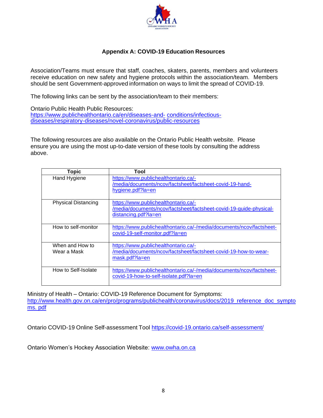

### **Appendix A: COVID-19 Education Resources**

Association/Teams must ensure that staff, coaches, skaters, parents, members and volunteers receive education on new safety and hygiene protocols within the association/team. Members should be sent Government-approved information on ways to limit the spread of COVID-19.

The following links can be sent by the association/team to their members:

Ontario Public Health Public Resources: [https://www.publichealthontario.ca/en/diseases-and-](https://www.publichealthontario.ca/en/diseases-and-conditions/infectious-diseases/respiratory-diseases/novel-coronavirus/public-resources) [conditions/infectious](https://www.publichealthontario.ca/en/diseases-and-conditions/infectious-diseases/respiratory-diseases/novel-coronavirus/public-resources)[diseases/respiratory-diseases/novel-coronavirus/public-resources](https://www.publichealthontario.ca/en/diseases-and-conditions/infectious-diseases/respiratory-diseases/novel-coronavirus/public-resources)

The following resources are also available on the Ontario Public Health website. Please ensure you are using the most up-to-date version of these tools by consulting the address above.

| <b>Topic</b>                   | Tool                                                                                                                               |
|--------------------------------|------------------------------------------------------------------------------------------------------------------------------------|
| Hand Hygiene                   | https://www.publichealthontario.ca/-<br>/media/documents/ncov/factsheet/factsheet-covid-19-hand-<br>hygiene.pdf?la=en              |
| <b>Physical Distancing</b>     | https://www.publichealthontario.ca/-<br>/media/documents/ncov/factsheet/factsheet-covid-19-guide-physical-<br>distancing.pdf?la=en |
| How to self-monitor            | https://www.publichealthontario.ca/-/media/documents/ncov/factsheet-<br>covid-19-self-monitor.pdf?la=en                            |
| When and How to<br>Wear a Mask | https://www.publichealthontario.ca/-<br>/media/documents/ncov/factsheet/factsheet-covid-19-how-to-wear-<br>mask.pdf?la=en          |
| How to Self-Isolate            | https://www.publichealthontario.ca/-/media/documents/ncov/factsheet-<br>covid-19-how-to-self-isolate.pdf?la=en                     |

Ministry of Health – Ontario: COVID-19 Reference Document for Symptoms: [http://www.health.gov.on.ca/en/pro/programs/publichealth/coronavirus/docs/2019\\_reference\\_doc\\_sympto](http://www.health.gov.on.ca/en/pro/programs/publichealth/coronavirus/docs/2019_reference_doc_symptoms.) [ms.](http://www.health.gov.on.ca/en/pro/programs/publichealth/coronavirus/docs/2019_reference_doc_symptoms.) [pdf](http://www.health.gov.on.ca/en/pro/programs/publichealth/coronavirus/docs/2019_reference_doc_symptoms.pdf)

Ontario COVID-19 Online Self-assessment Tool<https://covid-19.ontario.ca/self-assessment/>

Ontario Women's Hockey Association Website: [www.owha.on.ca](http://www.owha.on.ca/)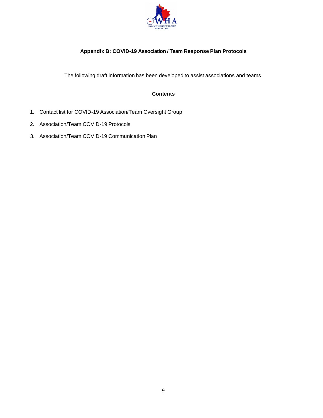

### **Appendix B: COVID-19 Association / Team Response Plan Protocols**

The following draft information has been developed to assist associations and teams.

#### **Contents**

- 1. Contact list for COVID-19 Association/Team Oversight Group
- 2. Association/Team COVID-19 Protocols
- 3. Association/Team COVID-19 Communication Plan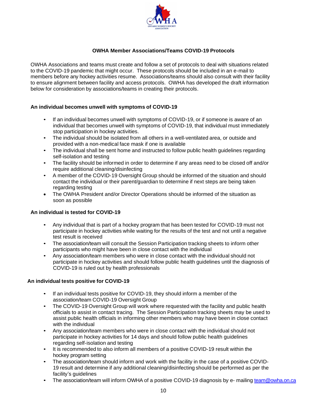

#### **OWHA Member Associations/Teams COVID-19 Protocols**

OWHA Associations and teams must create and follow a set of protocols to deal with situations related to the COVID-19 pandemic that might occur. These protocols should be included in an e-mail to members before any hockey activities resume. Associations/teams should also consult with their facility to ensure alignment between facility and access protocols. OWHA has developed the draft information below for consideration by associations/teams in creating their protocols.

#### **An individual becomes unwell with symptoms of COVID-19**

- If an individual becomes unwell with symptoms of COVID-19, or if someone is aware of an individual that becomes unwell with symptoms of COVID-19, that individual must immediately stop participation in hockey activities.
- The individual should be isolated from all others in a well-ventilated area, or outside and provided with a non-medical face mask if one is available
- The individual shall be sent home and instructed to follow public health guidelines regarding self-isolation and testing
- The facility should be informed in order to determine if any areas need to be closed off and/or require additional cleaning/disinfecting
- A member of the COVID-19 Oversight Group should be informed of the situation and should contact the individual or their parent/guardian to determine if next steps are being taken regarding testing
- The OWHA President and/or Director Operations should be informed of the situation as soon as possible

#### **An individual is tested for COVID-19**

- Any individual that is part of a hockey program that has been tested for COVID-19 must not participate in hockey activities while waiting for the results of the test and not until a negative test result is received
- The association/team will consult the Session Participation tracking sheets to inform other participants who might have been in close contact with the individual
- Any association/team members who were in close contact with the individual should not participate in hockey activities and should follow public health guidelines until the diagnosis of COVID-19 is ruled out by health professionals

#### **An individual tests positive for COVID-19**

- If an individual tests positive for COVID-19, they should inform a member of the association/team COVID-19 Oversight Group
- The COVID-19 Oversight Group will work where requested with the facility and public health officials to assist in contact tracing. The Session Participation tracking sheets may be used to assist public health officials in informing other members who may have been in close contact with the individual
- Any association/team members who were in close contact with the individual should not participate in hockey activities for 14 days and should follow public health guidelines regarding self-isolation and testing
- It is recommended to also inform all members of a positive COVID-19 result within the hockey program setting
- The association/team should inform and work with the facility in the case of a positive COVID-19 result and determine if any additional cleaning/disinfecting should be performed as per the facility's guidelines
- The association/team will inform OWHA of a positive COVID-19 diagnosis by e- mailing [team@owha.on.ca](mailto:team@owha.on.ca)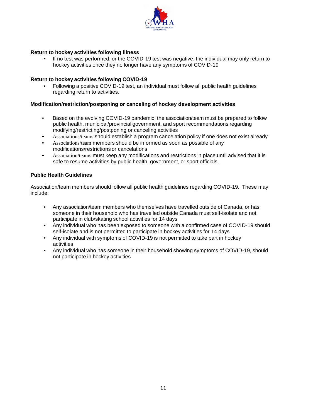

#### **Return to hockey activities following illness**

• If no test was performed, or the COVID-19 test was negative, the individual may only return to hockey activities once they no longer have any symptoms of COVID-19

#### **Return to hockey activities following COVID-19**

• Following a positive COVID-19 test, an individual must follow all public health guidelines regarding return to activities.

#### **Modification/restriction/postponing or canceling of hockey development activities**

- Based on the evolving COVID-19 pandemic, the association/team must be prepared to follow public health, municipal/provincial government, and sport recommendations regarding modifying/restricting/postponing or canceling activities
- Associations/teams should establish a program cancelation policy if one does not exist already
- Associations/team members should be informed as soon as possible of any modifications/restrictions or cancelations
- Association/teams must keep any modifications and restrictions in place until advised that it is safe to resume activities by public health, government, or sport officials.

#### **Public Health Guidelines**

Association/team members should follow all public health guidelines regarding COVID-19. These may include:

- Any association/team members who themselves have travelled outside of Canada, or has someone in their household who has travelled outside Canada must self-isolate and not participate in club/skating school activities for 14 days
- Any individual who has been exposed to someone with a confirmed case of COVID-19 should self-isolate and is not permitted to participate in hockey activities for 14 days
- Any individual with symptoms of COVID-19 is not permitted to take part in hockey activities
- Any individual who has someone in their household showing symptoms of COVID-19, should not participate in hockey activities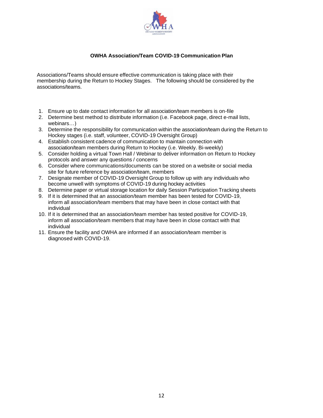

#### **OWHA Association/Team COVID-19 Communication Plan**

Associations/Teams should ensure effective communication is taking place with their membership during the Return to Hockey Stages. The following should be considered by the associations/teams.

- 1. Ensure up to date contact information for all association/team members is on-file
- 2. Determine best method to distribute information (i.e. Facebook page, direct e-mail lists, webinars…)
- 3. Determine the responsibility for communication within the association/team during the Return to Hockey stages (i.e. staff, volunteer, COVID-19 Oversight Group)
- 4. Establish consistent cadence of communication to maintain connection with association/team members during Return to Hockey (i.e. Weekly. Bi-weekly)
- 5. Consider holding a virtual Town Hall / Webinar to deliver information on Return to Hockey protocols and answer any questions / concerns
- 6. Consider where communications/documents can be stored on a website or social media site for future reference by association/team, members
- 7. Designate member of COVID-19 Oversight Group to follow up with any individuals who become unwell with symptoms of COVID-19 during hockey activities
- 8. Determine paper or virtual storage location for daily Session Participation Tracking sheets
- 9. If it is determined that an association/team member has been tested for COVID-19, inform all association/team members that may have been in close contact with that individual
- 10. If it is determined that an association/team member has tested positive for COVID-19, inform all association/team members that may have been in close contact with that individual
- 11. Ensure the facility and OWHA are informed if an association/team member is diagnosed with COVID-19.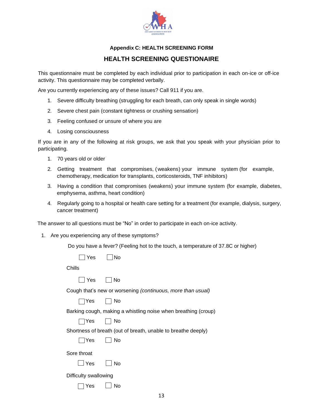

#### **Appendix C: HEALTH SCREENING FORM**

### **HEALTH SCREENING QUESTIONAIRE**

This questionnaire must be completed by each individual prior to participation in each on-ice or off-ice activity. This questionnaire may be completed verbally.

Are you currently experiencing any of these issues? Call 911 if you are.

- 1. Severe difficulty breathing (struggling for each breath, can only speak in single words)
- 2. Severe chest pain (constant tightness or crushing sensation)
- 3. Feeling confused or unsure of where you are
- 4. Losing consciousness

If you are in any of the following at risk groups, we ask that you speak with your physician prior to participating.

- 1. 70 years old or older
- 2. Getting treatment that compromises, ( weakens) your immune system (for example, chemotherapy, medication for transplants, corticosteroids, TNF inhibitors)
- 3. Having a condition that compromises (weakens) your immune system (for example, diabetes, emphysema, asthma, heart condition)
- 4. Regularly going to a hospital or health care setting for a treatment (for example, dialysis, surgery, cancer treatment)

The answer to all questions must be "No" in order to participate in each on-ice activity.

1. Are you experiencing any of these symptoms?

Do you have a fever? (Feeling hot to the touch, a temperature of 37.8C or higher)

 $\Box$  Yes  $\Box$  No

Chills

| $\sim$<br>تبرد | N٥ |
|----------------|----|
|----------------|----|

Cough that's new or worsening *(continuous, more than usual)*

 $\Box$  Yes  $\Box$  No

Barking cough, making a whistling noise when breathing (croup)

 $\Box$  Yes  $\Box$  No

Shortness of breath (out of breath, unable to breathe deeply)

 $\Box$ Yes  $\Box$  No

Sore throat

 $\Box$  Yes  $\Box$  No

Difficulty swallowing

 $\Box$  Yes  $\Box$  No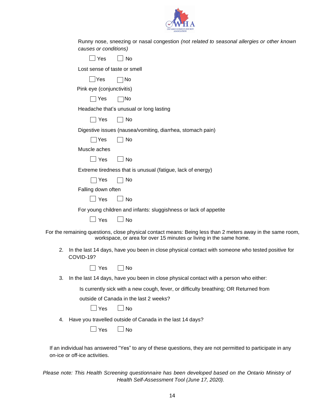

| Runny nose, sneezing or nasal congestion (not related to seasonal allergies or other known<br>causes or conditions)                                                              |
|----------------------------------------------------------------------------------------------------------------------------------------------------------------------------------|
| Yes<br><b>No</b>                                                                                                                                                                 |
| Lost sense of taste or smell                                                                                                                                                     |
| Yes<br>No                                                                                                                                                                        |
| Pink eye (conjunctivitis)                                                                                                                                                        |
| Yes<br> No                                                                                                                                                                       |
| Headache that's unusual or long lasting                                                                                                                                          |
| ∣ ∣Yes<br>No                                                                                                                                                                     |
| Digestive issues (nausea/vomiting, diarrhea, stomach pain)                                                                                                                       |
| Yes<br>No                                                                                                                                                                        |
| Muscle aches                                                                                                                                                                     |
| Yes<br><b>No</b>                                                                                                                                                                 |
| Extreme tiredness that is unusual (fatigue, lack of energy)                                                                                                                      |
| Yes<br>No                                                                                                                                                                        |
| Falling down often                                                                                                                                                               |
| Yes<br><b>No</b>                                                                                                                                                                 |
| For young children and infants: sluggishness or lack of appetite                                                                                                                 |
| Yes<br><b>No</b>                                                                                                                                                                 |
| For the remaining questions, close physical contact means: Being less than 2 meters away in the same room,<br>workspace, or area for over 15 minutes or living in the same home. |
| 2.<br>In the last 14 days, have you been in close physical contact with someone who tested positive for<br>COVID-19?                                                             |
| No<br>Yes                                                                                                                                                                        |
| 3.<br>In the last 14 days, have you been in close physical contact with a person who either:                                                                                     |
| Is currently sick with a new cough, fever, or difficulty breathing; OR Returned from                                                                                             |
| outside of Canada in the last 2 weeks?                                                                                                                                           |
| Yes<br><b>No</b>                                                                                                                                                                 |
| Have you travelled outside of Canada in the last 14 days?<br>4.                                                                                                                  |
| Yes<br><b>No</b>                                                                                                                                                                 |
| If an individual has answered "Yes" to any of these questions, they are not permitted to participate in any<br>on-ice or off-ice activities.                                     |

*Please note: This Health Screening questionnaire has been developed based on the Ontario Ministry of Health Self-Assessment Tool (June 17, 2020).*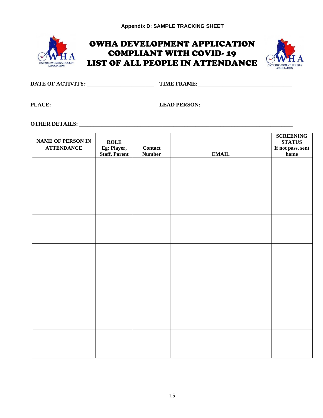

# OWHA DEVELOPMENT APPLICATION COMPLIANT WITH COVID- 19 LIST OF ALL PEOPLE IN ATTENDANCE



| DATE OF ACTIVITY: | <b>TIME FRAME.</b> |
|-------------------|--------------------|
|                   |                    |

**PLACE: \_\_\_\_\_\_\_\_\_\_\_\_\_\_\_\_\_\_\_\_\_\_\_\_\_\_\_\_\_\_\_ LEAD PERSON:\_\_\_\_\_\_\_\_\_\_\_\_\_\_\_\_\_\_\_\_\_\_\_\_\_\_\_\_\_\_\_\_\_**

# **OTHER DETAILS: \_\_\_\_\_\_\_\_\_\_\_\_\_\_\_\_\_\_\_\_\_\_\_\_\_\_\_\_\_\_\_\_\_\_\_\_\_\_\_\_\_\_\_\_\_\_\_\_\_\_\_\_\_\_\_\_\_\_\_\_\_\_\_\_\_\_\_\_\_\_\_\_\_\_\_\_\_**

| <b>NAME OF PERSON IN</b><br><b>ATTENDANCE</b> | <b>ROLE</b><br>Eg: Player, | <b>Contact</b> |              | <b>SCREENING</b><br><b>STATUS</b><br>If not pass, sent |
|-----------------------------------------------|----------------------------|----------------|--------------|--------------------------------------------------------|
|                                               | <b>Staff, Parent</b>       | <b>Number</b>  | <b>EMAIL</b> | $\bold{home}$                                          |
|                                               |                            |                |              |                                                        |
|                                               |                            |                |              |                                                        |
|                                               |                            |                |              |                                                        |
|                                               |                            |                |              |                                                        |
|                                               |                            |                |              |                                                        |
|                                               |                            |                |              |                                                        |
|                                               |                            |                |              |                                                        |
|                                               |                            |                |              |                                                        |
|                                               |                            |                |              |                                                        |
|                                               |                            |                |              |                                                        |
|                                               |                            |                |              |                                                        |
|                                               |                            |                |              |                                                        |
|                                               |                            |                |              |                                                        |
|                                               |                            |                |              |                                                        |
|                                               |                            |                |              |                                                        |
|                                               |                            |                |              |                                                        |
|                                               |                            |                |              |                                                        |
|                                               |                            |                |              |                                                        |
|                                               |                            |                |              |                                                        |
|                                               |                            |                |              |                                                        |
|                                               |                            |                |              |                                                        |
|                                               |                            |                |              |                                                        |
|                                               |                            |                |              |                                                        |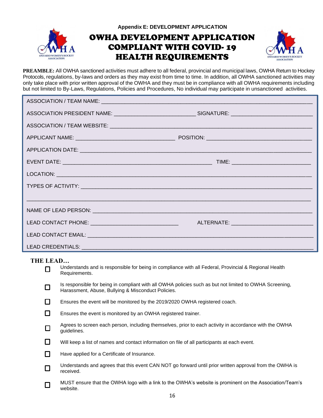

**Appendix E: DEVELOPMENT APPLICATION** 

# OWHA DEVELOPMENT APPLICATION COMPLIANT WITH COVID- 19 HEALTH REQUIREMENTS



**PREAMBLE:** All OWHA sanctioned activities must adhere to all federal, provincial and municipal laws, OWHA Return to Hockey Protocols, regulations, by-laws and orders as they may exist from time to time. In addition, all OWHA sanctioned activities may only take place with prior written approval of the OWHA and they must be in compliance with all OWHA requirements including but not limited to By-Laws, Regulations, Policies and Procedures, No individual may participate in unsanctioned activities.

| ASSOCIATION PRESIDENT NAME: __________________________________SIGNATURE: __________________________ |  |
|-----------------------------------------------------------------------------------------------------|--|
|                                                                                                     |  |
|                                                                                                     |  |
|                                                                                                     |  |
|                                                                                                     |  |
|                                                                                                     |  |
|                                                                                                     |  |
|                                                                                                     |  |
| NAME OF LEAD PERSON: NAME OF LEAD PERSON                                                            |  |
| LEAD CONTACT PHONE: ___________________________________                                             |  |
|                                                                                                     |  |
|                                                                                                     |  |

### **THE LEAD…**

| LEAD   |                                                                                                                                                               |
|--------|---------------------------------------------------------------------------------------------------------------------------------------------------------------|
| □      | Understands and is responsible for being in compliance with all Federal, Provincial & Regional Health<br>Requirements.                                        |
| $\Box$ | Is responsible for being in compliant with all OWHA policies such as but not limited to OWHA Screening,<br>Harassment, Abuse, Bullying & Misconduct Policies. |
| $\Box$ | Ensures the event will be monitored by the 2019/2020 OWHA registered coach.                                                                                   |
| $\Box$ | Ensures the event is monitored by an OWHA registered trainer.                                                                                                 |
| $\Box$ | Agrees to screen each person, including themselves, prior to each activity in accordance with the OWHA<br>guidelines.                                         |
| $\Box$ | Will keep a list of names and contact information on file of all participants at each event.                                                                  |
| $\Box$ | Have applied for a Certificate of Insurance.                                                                                                                  |
| $\Box$ | Understands and agrees that this event CAN NOT go forward until prior written approval from the OWHA is<br>received.                                          |
| □      | MUST ensure that the OWHA logo with a link to the OWHA's website is prominent on the Association/Team's<br>website.                                           |